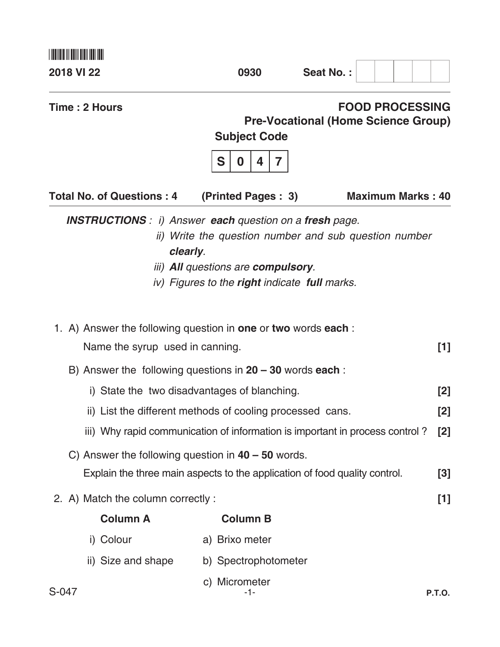| <u>HIIIII III III IIIIIIIII</u>                                |                                                                                                                        |                                                                                     |
|----------------------------------------------------------------|------------------------------------------------------------------------------------------------------------------------|-------------------------------------------------------------------------------------|
| <b>2018 VI 22</b>                                              | 0930                                                                                                                   | Seat No.:                                                                           |
| Time: 2 Hours                                                  | <b>Subject Code</b><br>S<br>7<br>0<br>4                                                                                | <b>FOOD PROCESSING</b><br><b>Pre-Vocational (Home Science Group)</b>                |
| <b>Total No. of Questions: 4</b>                               | (Printed Pages: 3)                                                                                                     | <b>Maximum Marks: 40</b>                                                            |
| <b>INSTRUCTIONS</b> : i) Answer each question on a fresh page. | clearly.<br><i>iii</i> ) <b>All</b> questions are <b>compulsory</b> .<br>iv) Figures to the right indicate full marks. | ii) Write the question number and sub question number                               |
| 1. A) Answer the following question in one or two words each:  |                                                                                                                        |                                                                                     |
| Name the syrup used in canning.                                |                                                                                                                        | [1]                                                                                 |
| B) Answer the following questions in $20 - 30$ words each:     |                                                                                                                        |                                                                                     |
|                                                                | i) State the two disadvantages of blanching.                                                                           | [2]                                                                                 |
|                                                                | ii) List the different methods of cooling processed cans.                                                              | [2]                                                                                 |
|                                                                |                                                                                                                        | iii) Why rapid communication of information is important in process control?<br>[2] |
| C) Answer the following question in $40 - 50$ words.           |                                                                                                                        |                                                                                     |
|                                                                |                                                                                                                        | Explain the three main aspects to the application of food quality control.<br>[3]   |
| 2. A) Match the column correctly :                             |                                                                                                                        | $[1]$                                                                               |
| <b>Column A</b>                                                | <b>Column B</b>                                                                                                        |                                                                                     |
| i) Colour                                                      | a) Brixo meter                                                                                                         |                                                                                     |
| ii) Size and shape                                             | b) Spectrophotometer                                                                                                   |                                                                                     |
| S-047                                                          | c) Micrometer<br>-1-                                                                                                   | <b>P.T.O.</b>                                                                       |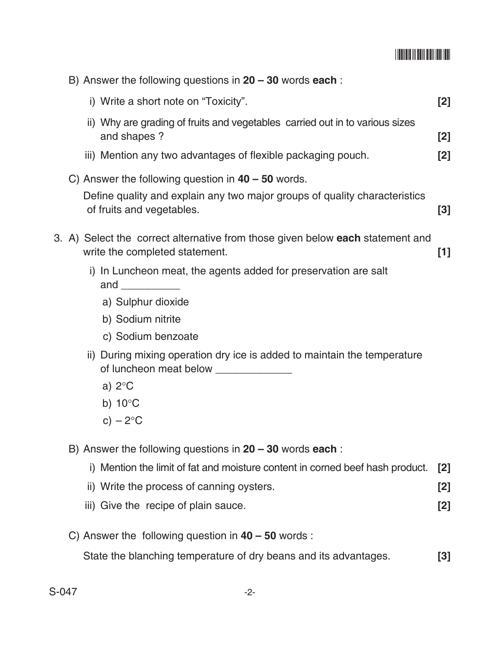## \*S047\*

|  | B) Answer the following questions in $20 - 30$ words each:                                                       |       |
|--|------------------------------------------------------------------------------------------------------------------|-------|
|  | i) Write a short note on "Toxicity".                                                                             | $[2]$ |
|  | ii) Why are grading of fruits and vegetables carried out in to various sizes<br>and shapes?                      | $[2]$ |
|  | iii) Mention any two advantages of flexible packaging pouch.                                                     | [2]   |
|  | C) Answer the following question in $40 - 50$ words.                                                             |       |
|  | Define quality and explain any two major groups of quality characteristics<br>of fruits and vegetables.          | $[3]$ |
|  | 3. A) Select the correct alternative from those given below each statement and<br>write the completed statement. | $[1]$ |
|  | i) In Luncheon meat, the agents added for preservation are salt<br>and $\qquad \qquad$                           |       |
|  | a) Sulphur dioxide                                                                                               |       |
|  | b) Sodium nitrite                                                                                                |       |
|  | c) Sodium benzoate                                                                                               |       |
|  | ii) During mixing operation dry ice is added to maintain the temperature                                         |       |
|  | a) $2^{\circ}$ C                                                                                                 |       |
|  | b) $10^{\circ}$ C                                                                                                |       |
|  | c) $-2$ °C                                                                                                       |       |
|  | B) Answer the following questions in $20 - 30$ words each:                                                       |       |
|  | i) Mention the limit of fat and moisture content in corned beef hash product.                                    | [2]   |
|  | ii) Write the process of canning oysters.                                                                        | $[2]$ |
|  | iii) Give the recipe of plain sauce.                                                                             | $[2]$ |
|  | C) Answer the following question in $40 - 50$ words:                                                             |       |
|  | State the blanching temperature of dry beans and its advantages.                                                 | $[3]$ |